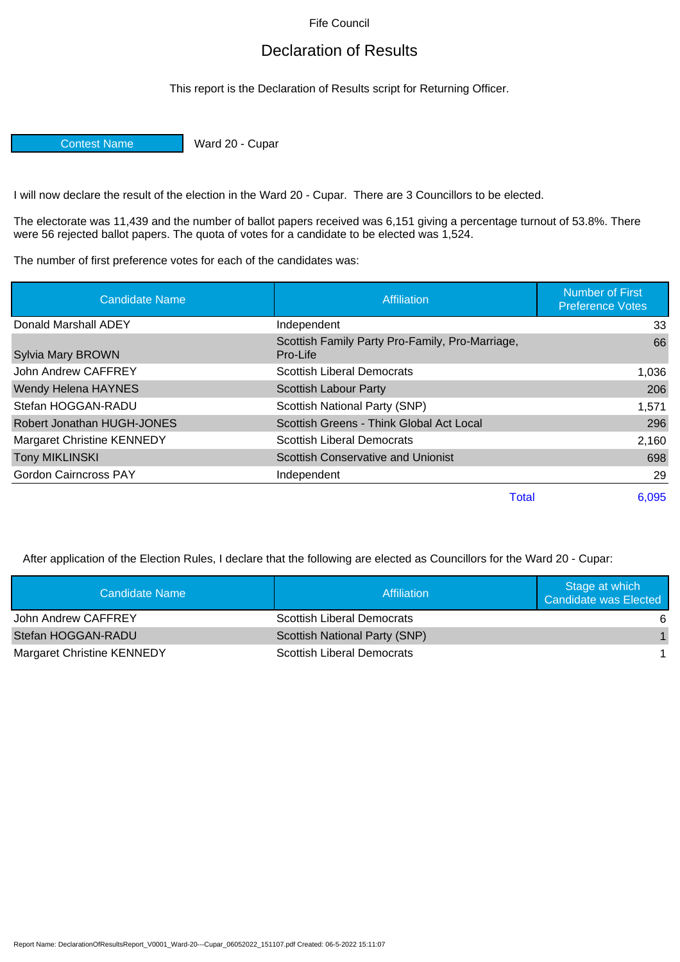Fife Council

## Declaration of Results

This report is the Declaration of Results script for Returning Officer.

Contest Name Ward 20 - Cupar

I will now declare the result of the election in the Ward 20 - Cupar. There are 3 Councillors to be elected.

The electorate was 11,439 and the number of ballot papers received was 6,151 giving a percentage turnout of 53.8%. There were 56 rejected ballot papers. The quota of votes for a candidate to be elected was 1,524.

The number of first preference votes for each of the candidates was:

| <b>Candidate Name</b>             | Affiliation                                                 | <b>Number of First</b><br><b>Preference Votes</b> |
|-----------------------------------|-------------------------------------------------------------|---------------------------------------------------|
| Donald Marshall ADEY              | Independent                                                 | 33                                                |
| <b>Sylvia Mary BROWN</b>          | Scottish Family Party Pro-Family, Pro-Marriage,<br>Pro-Life | 66                                                |
| John Andrew CAFFREY               | <b>Scottish Liberal Democrats</b>                           | 1,036                                             |
| <b>Wendy Helena HAYNES</b>        | Scottish Labour Party                                       | 206                                               |
| Stefan HOGGAN-RADU                | Scottish National Party (SNP)                               | 1,571                                             |
| Robert Jonathan HUGH-JONES        | Scottish Greens - Think Global Act Local                    | 296                                               |
| <b>Margaret Christine KENNEDY</b> | <b>Scottish Liberal Democrats</b>                           | 2,160                                             |
| <b>Tony MIKLINSKI</b>             | <b>Scottish Conservative and Unionist</b>                   | 698                                               |
| <b>Gordon Cairncross PAY</b>      | Independent                                                 | 29                                                |
|                                   | <b>Total</b>                                                | 6,095                                             |

After application of the Election Rules, I declare that the following are elected as Councillors for the Ward 20 - Cupar:

| Candidate Name                    | Affiliation                       | Stage at which<br>Candidate was Elected |
|-----------------------------------|-----------------------------------|-----------------------------------------|
| John Andrew CAFFREY               | <b>Scottish Liberal Democrats</b> | 6                                       |
| Stefan HOGGAN-RADU                | Scottish National Party (SNP)     |                                         |
| <b>Margaret Christine KENNEDY</b> | <b>Scottish Liberal Democrats</b> |                                         |